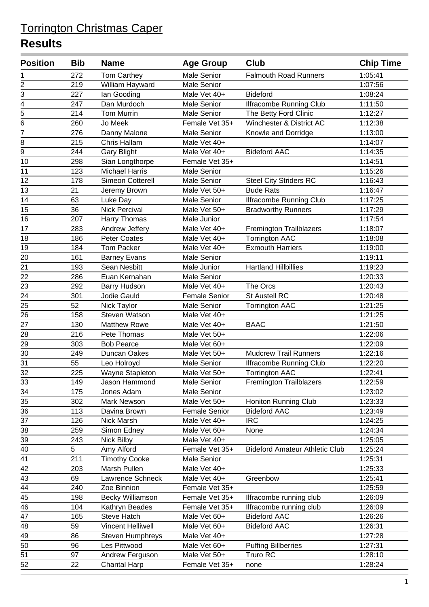| <b>Male Senior</b><br><b>Falmouth Road Runners</b><br>272<br><b>Tom Carthey</b><br>1:05:41<br>1<br>$\overline{\mathbf{c}}$<br>219<br><b>Male Senior</b><br>1:07:56<br>William Hayward<br>3<br>227<br>Male Vet 40+<br><b>Bideford</b><br>1:08:24<br>lan Gooding<br>$\overline{4}$<br>247<br>Dan Murdoch<br><b>Male Senior</b><br>1:11:50<br><b>Ilfracombe Running Club</b><br>$\overline{5}$<br>214<br><b>Tom Murrin</b><br>The Betty Ford Clinic<br>Male Senior<br>1:12:27<br>$\overline{6}$<br>Winchester & District AC<br>260<br>Jo Meek<br>Female Vet 35+<br>1:12:38<br>$\overline{7}$<br>276<br>Danny Malone<br>Male Senior<br>1:13:00<br>Knowle and Dorridge<br>8<br>Male Vet 40+<br>215<br>Chris Hallam<br>1:14:07<br>$\overline{9}$<br><b>Bideford AAC</b><br>244<br>Male Vet 40+<br>1:14:35<br><b>Gary Blight</b><br>10<br>298<br>Sian Longthorpe<br>Female Vet 35+<br>1:14:51<br>123<br><b>Michael Harris</b><br>1:15:26<br>11<br><b>Male Senior</b><br>12<br>178<br>Simeon Cotterell<br><b>Steel City Striders RC</b><br>1:16:43<br><b>Male Senior</b><br>13<br>21<br>Jeremy Brown<br>Male Vet 50+<br><b>Bude Rats</b><br>1:16:47<br>14<br>63<br>Luke Day<br><b>Male Senior</b><br><b>Ilfracombe Running Club</b><br>1:17:25<br>15<br>36<br><b>Nick Percival</b><br>1:17:29<br>Male Vet 50+<br><b>Bradworthy Runners</b><br>16<br>1:17:54<br>207<br>Harry Thomas<br>Male Junior<br>17<br>Andrew Jeffery<br><b>Fremington Trailblazers</b><br>1:18:07<br>283<br>Male Vet 40+<br>18<br>186<br><b>Peter Coates</b><br>Male Vet 40+<br><b>Torrington AAC</b><br>1:18:08<br><b>Exmouth Harriers</b><br>19<br>184<br><b>Tom Packer</b><br>Male Vet 40+<br>1:19:00<br>20<br>161<br><b>Male Senior</b><br>1:19:11<br><b>Barney Evans</b><br><b>Hartland Hillbillies</b><br>21<br>193<br>Sean Nesbitt<br>Male Junior<br>1:19:23<br>22<br>286<br>Euan Kernahan<br>1:20:33<br>Male Senior<br>23<br>The Orcs<br>292<br><b>Barry Hudson</b><br>Male Vet 40+<br>1:20:43<br>$\overline{24}$<br>301<br>Jodie Gauld<br><b>Female Senior</b><br>St Austell RC<br>1:20:48<br>25<br>52<br><b>Male Senior</b><br><b>Torrington AAC</b><br>1:21:25<br>Nick Taylor<br>26<br>158<br>1:21:25<br>Steven Watson<br>Male Vet 40+<br>27<br>130<br><b>Matthew Rowe</b><br><b>BAAC</b><br>1:21:50<br>Male Vet 40+<br>$\overline{28}$<br>1:22:06<br>216<br>Pete Thomas<br>Male Vet 50+<br>29<br>303<br><b>Bob Pearce</b><br>Male Vet 60+<br>1:22:09<br>30<br><b>Mudcrew Trail Runners</b><br>249<br>Duncan Oakes<br>Male Vet 50+<br>1:22:16<br>31<br>55<br>1:22:20<br>Leo Holroyd<br>Male Senior<br><b>Ilfracombe Running Club</b><br>$\overline{32}$<br>225<br>1:22:41<br>Wayne Stapleton<br>Male Vet 50+<br><b>Torrington AAC</b><br>33<br>149<br>Jason Hammond<br>Male Senior<br><b>Fremington Trailblazers</b><br>1:22:59<br>34<br>175<br>Jones Adam<br>Male Senior<br>1:23:02<br>35<br>302<br>1:23:33<br>Mark Newson<br>Male Vet 50+<br>Honiton Running Club<br>36<br>113<br><b>Bideford AAC</b><br><b>Female Senior</b><br>1:23:49<br>Davina Brown<br>37<br>126<br><b>IRC</b><br>Nick Marsh<br>Male Vet 40+<br>1:24:25<br>Simon Edney<br>None<br>1:24:34<br>38<br>259<br>Male Vet 60+<br>39<br>243<br>1:25:05<br>Nick Bilby<br>Male Vet 40+<br>40<br>5<br>Amy Alford<br>Female Vet 35+<br>1:25:24<br><b>Bideford Amateur Athletic Club</b><br>$\overline{41}$<br>211<br><b>Timothy Cooke</b><br>Male Senior<br>1:25:31<br>42<br>Marsh Pullen<br>Male Vet 40+<br>1:25:33<br>203<br>43<br>69<br>Lawrence Schneck<br>Male Vet 40+<br>Greenbow<br>1:25:41<br>44<br>1:25:59<br>240<br>Zoe Binnion<br>Female Vet 35+<br>45<br>198<br><b>Becky Williamson</b><br>Female Vet 35+<br>1:26:09<br>Ilfracombe running club<br>46<br>104<br>Kathryn Beades<br>Female Vet 35+<br>Ilfracombe running club<br>1:26:09<br>165<br><b>Steve Hatch</b><br><b>Bideford AAC</b><br>47<br>Male Vet 60+<br>1:26:26<br>48<br>Vincent Helliwell<br><b>Bideford AAC</b><br>1:26:31<br>59<br>Male Vet 60+<br>49<br>Male Vet 40+<br>1:27:28<br>86<br>Steven Humphreys<br>50<br><b>Puffing Billberries</b><br>96<br>Les Pittwood<br>Male Vet 60+<br>1:27:31<br>51<br>Truro RC<br>97<br>Andrew Ferguson<br>Male Vet 50+<br>1:28:10<br>52<br>1:28:24<br>22<br><b>Chantal Harp</b><br>Female Vet 35+<br>none | <b>Position</b> | <b>Bib</b> | <b>Name</b> | <b>Age Group</b> | Club | <b>Chip Time</b> |
|-------------------------------------------------------------------------------------------------------------------------------------------------------------------------------------------------------------------------------------------------------------------------------------------------------------------------------------------------------------------------------------------------------------------------------------------------------------------------------------------------------------------------------------------------------------------------------------------------------------------------------------------------------------------------------------------------------------------------------------------------------------------------------------------------------------------------------------------------------------------------------------------------------------------------------------------------------------------------------------------------------------------------------------------------------------------------------------------------------------------------------------------------------------------------------------------------------------------------------------------------------------------------------------------------------------------------------------------------------------------------------------------------------------------------------------------------------------------------------------------------------------------------------------------------------------------------------------------------------------------------------------------------------------------------------------------------------------------------------------------------------------------------------------------------------------------------------------------------------------------------------------------------------------------------------------------------------------------------------------------------------------------------------------------------------------------------------------------------------------------------------------------------------------------------------------------------------------------------------------------------------------------------------------------------------------------------------------------------------------------------------------------------------------------------------------------------------------------------------------------------------------------------------------------------------------------------------------------------------------------------------------------------------------------------------------------------------------------------------------------------------------------------------------------------------------------------------------------------------------------------------------------------------------------------------------------------------------------------------------------------------------------------------------------------------------------------------------------------------------------------------------------------------------------------------------------------------------------------------------------------------------------------------------------------------------------------------------------------------------------------------------------------------------------------------------------------------------------------------------------------------------------------------------------------------------------------------------------------------------------------------------------------------------------------------------------------------------------------------------------------------------------------------------------------------------------------------------------------------------------------------------------------------------------------------------------------------------------------------------------------------------------------------------------------------------------------------------------------------------------------------------------------------------------------------------------------------------------------------------------------------------|-----------------|------------|-------------|------------------|------|------------------|
|                                                                                                                                                                                                                                                                                                                                                                                                                                                                                                                                                                                                                                                                                                                                                                                                                                                                                                                                                                                                                                                                                                                                                                                                                                                                                                                                                                                                                                                                                                                                                                                                                                                                                                                                                                                                                                                                                                                                                                                                                                                                                                                                                                                                                                                                                                                                                                                                                                                                                                                                                                                                                                                                                                                                                                                                                                                                                                                                                                                                                                                                                                                                                                                                                                                                                                                                                                                                                                                                                                                                                                                                                                                                                                                                                                                                                                                                                                                                                                                                                                                                                                                                                                                                                                                             |                 |            |             |                  |      |                  |
|                                                                                                                                                                                                                                                                                                                                                                                                                                                                                                                                                                                                                                                                                                                                                                                                                                                                                                                                                                                                                                                                                                                                                                                                                                                                                                                                                                                                                                                                                                                                                                                                                                                                                                                                                                                                                                                                                                                                                                                                                                                                                                                                                                                                                                                                                                                                                                                                                                                                                                                                                                                                                                                                                                                                                                                                                                                                                                                                                                                                                                                                                                                                                                                                                                                                                                                                                                                                                                                                                                                                                                                                                                                                                                                                                                                                                                                                                                                                                                                                                                                                                                                                                                                                                                                             |                 |            |             |                  |      |                  |
|                                                                                                                                                                                                                                                                                                                                                                                                                                                                                                                                                                                                                                                                                                                                                                                                                                                                                                                                                                                                                                                                                                                                                                                                                                                                                                                                                                                                                                                                                                                                                                                                                                                                                                                                                                                                                                                                                                                                                                                                                                                                                                                                                                                                                                                                                                                                                                                                                                                                                                                                                                                                                                                                                                                                                                                                                                                                                                                                                                                                                                                                                                                                                                                                                                                                                                                                                                                                                                                                                                                                                                                                                                                                                                                                                                                                                                                                                                                                                                                                                                                                                                                                                                                                                                                             |                 |            |             |                  |      |                  |
|                                                                                                                                                                                                                                                                                                                                                                                                                                                                                                                                                                                                                                                                                                                                                                                                                                                                                                                                                                                                                                                                                                                                                                                                                                                                                                                                                                                                                                                                                                                                                                                                                                                                                                                                                                                                                                                                                                                                                                                                                                                                                                                                                                                                                                                                                                                                                                                                                                                                                                                                                                                                                                                                                                                                                                                                                                                                                                                                                                                                                                                                                                                                                                                                                                                                                                                                                                                                                                                                                                                                                                                                                                                                                                                                                                                                                                                                                                                                                                                                                                                                                                                                                                                                                                                             |                 |            |             |                  |      |                  |
|                                                                                                                                                                                                                                                                                                                                                                                                                                                                                                                                                                                                                                                                                                                                                                                                                                                                                                                                                                                                                                                                                                                                                                                                                                                                                                                                                                                                                                                                                                                                                                                                                                                                                                                                                                                                                                                                                                                                                                                                                                                                                                                                                                                                                                                                                                                                                                                                                                                                                                                                                                                                                                                                                                                                                                                                                                                                                                                                                                                                                                                                                                                                                                                                                                                                                                                                                                                                                                                                                                                                                                                                                                                                                                                                                                                                                                                                                                                                                                                                                                                                                                                                                                                                                                                             |                 |            |             |                  |      |                  |
|                                                                                                                                                                                                                                                                                                                                                                                                                                                                                                                                                                                                                                                                                                                                                                                                                                                                                                                                                                                                                                                                                                                                                                                                                                                                                                                                                                                                                                                                                                                                                                                                                                                                                                                                                                                                                                                                                                                                                                                                                                                                                                                                                                                                                                                                                                                                                                                                                                                                                                                                                                                                                                                                                                                                                                                                                                                                                                                                                                                                                                                                                                                                                                                                                                                                                                                                                                                                                                                                                                                                                                                                                                                                                                                                                                                                                                                                                                                                                                                                                                                                                                                                                                                                                                                             |                 |            |             |                  |      |                  |
|                                                                                                                                                                                                                                                                                                                                                                                                                                                                                                                                                                                                                                                                                                                                                                                                                                                                                                                                                                                                                                                                                                                                                                                                                                                                                                                                                                                                                                                                                                                                                                                                                                                                                                                                                                                                                                                                                                                                                                                                                                                                                                                                                                                                                                                                                                                                                                                                                                                                                                                                                                                                                                                                                                                                                                                                                                                                                                                                                                                                                                                                                                                                                                                                                                                                                                                                                                                                                                                                                                                                                                                                                                                                                                                                                                                                                                                                                                                                                                                                                                                                                                                                                                                                                                                             |                 |            |             |                  |      |                  |
|                                                                                                                                                                                                                                                                                                                                                                                                                                                                                                                                                                                                                                                                                                                                                                                                                                                                                                                                                                                                                                                                                                                                                                                                                                                                                                                                                                                                                                                                                                                                                                                                                                                                                                                                                                                                                                                                                                                                                                                                                                                                                                                                                                                                                                                                                                                                                                                                                                                                                                                                                                                                                                                                                                                                                                                                                                                                                                                                                                                                                                                                                                                                                                                                                                                                                                                                                                                                                                                                                                                                                                                                                                                                                                                                                                                                                                                                                                                                                                                                                                                                                                                                                                                                                                                             |                 |            |             |                  |      |                  |
|                                                                                                                                                                                                                                                                                                                                                                                                                                                                                                                                                                                                                                                                                                                                                                                                                                                                                                                                                                                                                                                                                                                                                                                                                                                                                                                                                                                                                                                                                                                                                                                                                                                                                                                                                                                                                                                                                                                                                                                                                                                                                                                                                                                                                                                                                                                                                                                                                                                                                                                                                                                                                                                                                                                                                                                                                                                                                                                                                                                                                                                                                                                                                                                                                                                                                                                                                                                                                                                                                                                                                                                                                                                                                                                                                                                                                                                                                                                                                                                                                                                                                                                                                                                                                                                             |                 |            |             |                  |      |                  |
|                                                                                                                                                                                                                                                                                                                                                                                                                                                                                                                                                                                                                                                                                                                                                                                                                                                                                                                                                                                                                                                                                                                                                                                                                                                                                                                                                                                                                                                                                                                                                                                                                                                                                                                                                                                                                                                                                                                                                                                                                                                                                                                                                                                                                                                                                                                                                                                                                                                                                                                                                                                                                                                                                                                                                                                                                                                                                                                                                                                                                                                                                                                                                                                                                                                                                                                                                                                                                                                                                                                                                                                                                                                                                                                                                                                                                                                                                                                                                                                                                                                                                                                                                                                                                                                             |                 |            |             |                  |      |                  |
|                                                                                                                                                                                                                                                                                                                                                                                                                                                                                                                                                                                                                                                                                                                                                                                                                                                                                                                                                                                                                                                                                                                                                                                                                                                                                                                                                                                                                                                                                                                                                                                                                                                                                                                                                                                                                                                                                                                                                                                                                                                                                                                                                                                                                                                                                                                                                                                                                                                                                                                                                                                                                                                                                                                                                                                                                                                                                                                                                                                                                                                                                                                                                                                                                                                                                                                                                                                                                                                                                                                                                                                                                                                                                                                                                                                                                                                                                                                                                                                                                                                                                                                                                                                                                                                             |                 |            |             |                  |      |                  |
|                                                                                                                                                                                                                                                                                                                                                                                                                                                                                                                                                                                                                                                                                                                                                                                                                                                                                                                                                                                                                                                                                                                                                                                                                                                                                                                                                                                                                                                                                                                                                                                                                                                                                                                                                                                                                                                                                                                                                                                                                                                                                                                                                                                                                                                                                                                                                                                                                                                                                                                                                                                                                                                                                                                                                                                                                                                                                                                                                                                                                                                                                                                                                                                                                                                                                                                                                                                                                                                                                                                                                                                                                                                                                                                                                                                                                                                                                                                                                                                                                                                                                                                                                                                                                                                             |                 |            |             |                  |      |                  |
|                                                                                                                                                                                                                                                                                                                                                                                                                                                                                                                                                                                                                                                                                                                                                                                                                                                                                                                                                                                                                                                                                                                                                                                                                                                                                                                                                                                                                                                                                                                                                                                                                                                                                                                                                                                                                                                                                                                                                                                                                                                                                                                                                                                                                                                                                                                                                                                                                                                                                                                                                                                                                                                                                                                                                                                                                                                                                                                                                                                                                                                                                                                                                                                                                                                                                                                                                                                                                                                                                                                                                                                                                                                                                                                                                                                                                                                                                                                                                                                                                                                                                                                                                                                                                                                             |                 |            |             |                  |      |                  |
|                                                                                                                                                                                                                                                                                                                                                                                                                                                                                                                                                                                                                                                                                                                                                                                                                                                                                                                                                                                                                                                                                                                                                                                                                                                                                                                                                                                                                                                                                                                                                                                                                                                                                                                                                                                                                                                                                                                                                                                                                                                                                                                                                                                                                                                                                                                                                                                                                                                                                                                                                                                                                                                                                                                                                                                                                                                                                                                                                                                                                                                                                                                                                                                                                                                                                                                                                                                                                                                                                                                                                                                                                                                                                                                                                                                                                                                                                                                                                                                                                                                                                                                                                                                                                                                             |                 |            |             |                  |      |                  |
|                                                                                                                                                                                                                                                                                                                                                                                                                                                                                                                                                                                                                                                                                                                                                                                                                                                                                                                                                                                                                                                                                                                                                                                                                                                                                                                                                                                                                                                                                                                                                                                                                                                                                                                                                                                                                                                                                                                                                                                                                                                                                                                                                                                                                                                                                                                                                                                                                                                                                                                                                                                                                                                                                                                                                                                                                                                                                                                                                                                                                                                                                                                                                                                                                                                                                                                                                                                                                                                                                                                                                                                                                                                                                                                                                                                                                                                                                                                                                                                                                                                                                                                                                                                                                                                             |                 |            |             |                  |      |                  |
|                                                                                                                                                                                                                                                                                                                                                                                                                                                                                                                                                                                                                                                                                                                                                                                                                                                                                                                                                                                                                                                                                                                                                                                                                                                                                                                                                                                                                                                                                                                                                                                                                                                                                                                                                                                                                                                                                                                                                                                                                                                                                                                                                                                                                                                                                                                                                                                                                                                                                                                                                                                                                                                                                                                                                                                                                                                                                                                                                                                                                                                                                                                                                                                                                                                                                                                                                                                                                                                                                                                                                                                                                                                                                                                                                                                                                                                                                                                                                                                                                                                                                                                                                                                                                                                             |                 |            |             |                  |      |                  |
|                                                                                                                                                                                                                                                                                                                                                                                                                                                                                                                                                                                                                                                                                                                                                                                                                                                                                                                                                                                                                                                                                                                                                                                                                                                                                                                                                                                                                                                                                                                                                                                                                                                                                                                                                                                                                                                                                                                                                                                                                                                                                                                                                                                                                                                                                                                                                                                                                                                                                                                                                                                                                                                                                                                                                                                                                                                                                                                                                                                                                                                                                                                                                                                                                                                                                                                                                                                                                                                                                                                                                                                                                                                                                                                                                                                                                                                                                                                                                                                                                                                                                                                                                                                                                                                             |                 |            |             |                  |      |                  |
|                                                                                                                                                                                                                                                                                                                                                                                                                                                                                                                                                                                                                                                                                                                                                                                                                                                                                                                                                                                                                                                                                                                                                                                                                                                                                                                                                                                                                                                                                                                                                                                                                                                                                                                                                                                                                                                                                                                                                                                                                                                                                                                                                                                                                                                                                                                                                                                                                                                                                                                                                                                                                                                                                                                                                                                                                                                                                                                                                                                                                                                                                                                                                                                                                                                                                                                                                                                                                                                                                                                                                                                                                                                                                                                                                                                                                                                                                                                                                                                                                                                                                                                                                                                                                                                             |                 |            |             |                  |      |                  |
|                                                                                                                                                                                                                                                                                                                                                                                                                                                                                                                                                                                                                                                                                                                                                                                                                                                                                                                                                                                                                                                                                                                                                                                                                                                                                                                                                                                                                                                                                                                                                                                                                                                                                                                                                                                                                                                                                                                                                                                                                                                                                                                                                                                                                                                                                                                                                                                                                                                                                                                                                                                                                                                                                                                                                                                                                                                                                                                                                                                                                                                                                                                                                                                                                                                                                                                                                                                                                                                                                                                                                                                                                                                                                                                                                                                                                                                                                                                                                                                                                                                                                                                                                                                                                                                             |                 |            |             |                  |      |                  |
|                                                                                                                                                                                                                                                                                                                                                                                                                                                                                                                                                                                                                                                                                                                                                                                                                                                                                                                                                                                                                                                                                                                                                                                                                                                                                                                                                                                                                                                                                                                                                                                                                                                                                                                                                                                                                                                                                                                                                                                                                                                                                                                                                                                                                                                                                                                                                                                                                                                                                                                                                                                                                                                                                                                                                                                                                                                                                                                                                                                                                                                                                                                                                                                                                                                                                                                                                                                                                                                                                                                                                                                                                                                                                                                                                                                                                                                                                                                                                                                                                                                                                                                                                                                                                                                             |                 |            |             |                  |      |                  |
|                                                                                                                                                                                                                                                                                                                                                                                                                                                                                                                                                                                                                                                                                                                                                                                                                                                                                                                                                                                                                                                                                                                                                                                                                                                                                                                                                                                                                                                                                                                                                                                                                                                                                                                                                                                                                                                                                                                                                                                                                                                                                                                                                                                                                                                                                                                                                                                                                                                                                                                                                                                                                                                                                                                                                                                                                                                                                                                                                                                                                                                                                                                                                                                                                                                                                                                                                                                                                                                                                                                                                                                                                                                                                                                                                                                                                                                                                                                                                                                                                                                                                                                                                                                                                                                             |                 |            |             |                  |      |                  |
|                                                                                                                                                                                                                                                                                                                                                                                                                                                                                                                                                                                                                                                                                                                                                                                                                                                                                                                                                                                                                                                                                                                                                                                                                                                                                                                                                                                                                                                                                                                                                                                                                                                                                                                                                                                                                                                                                                                                                                                                                                                                                                                                                                                                                                                                                                                                                                                                                                                                                                                                                                                                                                                                                                                                                                                                                                                                                                                                                                                                                                                                                                                                                                                                                                                                                                                                                                                                                                                                                                                                                                                                                                                                                                                                                                                                                                                                                                                                                                                                                                                                                                                                                                                                                                                             |                 |            |             |                  |      |                  |
|                                                                                                                                                                                                                                                                                                                                                                                                                                                                                                                                                                                                                                                                                                                                                                                                                                                                                                                                                                                                                                                                                                                                                                                                                                                                                                                                                                                                                                                                                                                                                                                                                                                                                                                                                                                                                                                                                                                                                                                                                                                                                                                                                                                                                                                                                                                                                                                                                                                                                                                                                                                                                                                                                                                                                                                                                                                                                                                                                                                                                                                                                                                                                                                                                                                                                                                                                                                                                                                                                                                                                                                                                                                                                                                                                                                                                                                                                                                                                                                                                                                                                                                                                                                                                                                             |                 |            |             |                  |      |                  |
|                                                                                                                                                                                                                                                                                                                                                                                                                                                                                                                                                                                                                                                                                                                                                                                                                                                                                                                                                                                                                                                                                                                                                                                                                                                                                                                                                                                                                                                                                                                                                                                                                                                                                                                                                                                                                                                                                                                                                                                                                                                                                                                                                                                                                                                                                                                                                                                                                                                                                                                                                                                                                                                                                                                                                                                                                                                                                                                                                                                                                                                                                                                                                                                                                                                                                                                                                                                                                                                                                                                                                                                                                                                                                                                                                                                                                                                                                                                                                                                                                                                                                                                                                                                                                                                             |                 |            |             |                  |      |                  |
|                                                                                                                                                                                                                                                                                                                                                                                                                                                                                                                                                                                                                                                                                                                                                                                                                                                                                                                                                                                                                                                                                                                                                                                                                                                                                                                                                                                                                                                                                                                                                                                                                                                                                                                                                                                                                                                                                                                                                                                                                                                                                                                                                                                                                                                                                                                                                                                                                                                                                                                                                                                                                                                                                                                                                                                                                                                                                                                                                                                                                                                                                                                                                                                                                                                                                                                                                                                                                                                                                                                                                                                                                                                                                                                                                                                                                                                                                                                                                                                                                                                                                                                                                                                                                                                             |                 |            |             |                  |      |                  |
|                                                                                                                                                                                                                                                                                                                                                                                                                                                                                                                                                                                                                                                                                                                                                                                                                                                                                                                                                                                                                                                                                                                                                                                                                                                                                                                                                                                                                                                                                                                                                                                                                                                                                                                                                                                                                                                                                                                                                                                                                                                                                                                                                                                                                                                                                                                                                                                                                                                                                                                                                                                                                                                                                                                                                                                                                                                                                                                                                                                                                                                                                                                                                                                                                                                                                                                                                                                                                                                                                                                                                                                                                                                                                                                                                                                                                                                                                                                                                                                                                                                                                                                                                                                                                                                             |                 |            |             |                  |      |                  |
|                                                                                                                                                                                                                                                                                                                                                                                                                                                                                                                                                                                                                                                                                                                                                                                                                                                                                                                                                                                                                                                                                                                                                                                                                                                                                                                                                                                                                                                                                                                                                                                                                                                                                                                                                                                                                                                                                                                                                                                                                                                                                                                                                                                                                                                                                                                                                                                                                                                                                                                                                                                                                                                                                                                                                                                                                                                                                                                                                                                                                                                                                                                                                                                                                                                                                                                                                                                                                                                                                                                                                                                                                                                                                                                                                                                                                                                                                                                                                                                                                                                                                                                                                                                                                                                             |                 |            |             |                  |      |                  |
|                                                                                                                                                                                                                                                                                                                                                                                                                                                                                                                                                                                                                                                                                                                                                                                                                                                                                                                                                                                                                                                                                                                                                                                                                                                                                                                                                                                                                                                                                                                                                                                                                                                                                                                                                                                                                                                                                                                                                                                                                                                                                                                                                                                                                                                                                                                                                                                                                                                                                                                                                                                                                                                                                                                                                                                                                                                                                                                                                                                                                                                                                                                                                                                                                                                                                                                                                                                                                                                                                                                                                                                                                                                                                                                                                                                                                                                                                                                                                                                                                                                                                                                                                                                                                                                             |                 |            |             |                  |      |                  |
|                                                                                                                                                                                                                                                                                                                                                                                                                                                                                                                                                                                                                                                                                                                                                                                                                                                                                                                                                                                                                                                                                                                                                                                                                                                                                                                                                                                                                                                                                                                                                                                                                                                                                                                                                                                                                                                                                                                                                                                                                                                                                                                                                                                                                                                                                                                                                                                                                                                                                                                                                                                                                                                                                                                                                                                                                                                                                                                                                                                                                                                                                                                                                                                                                                                                                                                                                                                                                                                                                                                                                                                                                                                                                                                                                                                                                                                                                                                                                                                                                                                                                                                                                                                                                                                             |                 |            |             |                  |      |                  |
|                                                                                                                                                                                                                                                                                                                                                                                                                                                                                                                                                                                                                                                                                                                                                                                                                                                                                                                                                                                                                                                                                                                                                                                                                                                                                                                                                                                                                                                                                                                                                                                                                                                                                                                                                                                                                                                                                                                                                                                                                                                                                                                                                                                                                                                                                                                                                                                                                                                                                                                                                                                                                                                                                                                                                                                                                                                                                                                                                                                                                                                                                                                                                                                                                                                                                                                                                                                                                                                                                                                                                                                                                                                                                                                                                                                                                                                                                                                                                                                                                                                                                                                                                                                                                                                             |                 |            |             |                  |      |                  |
|                                                                                                                                                                                                                                                                                                                                                                                                                                                                                                                                                                                                                                                                                                                                                                                                                                                                                                                                                                                                                                                                                                                                                                                                                                                                                                                                                                                                                                                                                                                                                                                                                                                                                                                                                                                                                                                                                                                                                                                                                                                                                                                                                                                                                                                                                                                                                                                                                                                                                                                                                                                                                                                                                                                                                                                                                                                                                                                                                                                                                                                                                                                                                                                                                                                                                                                                                                                                                                                                                                                                                                                                                                                                                                                                                                                                                                                                                                                                                                                                                                                                                                                                                                                                                                                             |                 |            |             |                  |      |                  |
|                                                                                                                                                                                                                                                                                                                                                                                                                                                                                                                                                                                                                                                                                                                                                                                                                                                                                                                                                                                                                                                                                                                                                                                                                                                                                                                                                                                                                                                                                                                                                                                                                                                                                                                                                                                                                                                                                                                                                                                                                                                                                                                                                                                                                                                                                                                                                                                                                                                                                                                                                                                                                                                                                                                                                                                                                                                                                                                                                                                                                                                                                                                                                                                                                                                                                                                                                                                                                                                                                                                                                                                                                                                                                                                                                                                                                                                                                                                                                                                                                                                                                                                                                                                                                                                             |                 |            |             |                  |      |                  |
|                                                                                                                                                                                                                                                                                                                                                                                                                                                                                                                                                                                                                                                                                                                                                                                                                                                                                                                                                                                                                                                                                                                                                                                                                                                                                                                                                                                                                                                                                                                                                                                                                                                                                                                                                                                                                                                                                                                                                                                                                                                                                                                                                                                                                                                                                                                                                                                                                                                                                                                                                                                                                                                                                                                                                                                                                                                                                                                                                                                                                                                                                                                                                                                                                                                                                                                                                                                                                                                                                                                                                                                                                                                                                                                                                                                                                                                                                                                                                                                                                                                                                                                                                                                                                                                             |                 |            |             |                  |      |                  |
|                                                                                                                                                                                                                                                                                                                                                                                                                                                                                                                                                                                                                                                                                                                                                                                                                                                                                                                                                                                                                                                                                                                                                                                                                                                                                                                                                                                                                                                                                                                                                                                                                                                                                                                                                                                                                                                                                                                                                                                                                                                                                                                                                                                                                                                                                                                                                                                                                                                                                                                                                                                                                                                                                                                                                                                                                                                                                                                                                                                                                                                                                                                                                                                                                                                                                                                                                                                                                                                                                                                                                                                                                                                                                                                                                                                                                                                                                                                                                                                                                                                                                                                                                                                                                                                             |                 |            |             |                  |      |                  |
|                                                                                                                                                                                                                                                                                                                                                                                                                                                                                                                                                                                                                                                                                                                                                                                                                                                                                                                                                                                                                                                                                                                                                                                                                                                                                                                                                                                                                                                                                                                                                                                                                                                                                                                                                                                                                                                                                                                                                                                                                                                                                                                                                                                                                                                                                                                                                                                                                                                                                                                                                                                                                                                                                                                                                                                                                                                                                                                                                                                                                                                                                                                                                                                                                                                                                                                                                                                                                                                                                                                                                                                                                                                                                                                                                                                                                                                                                                                                                                                                                                                                                                                                                                                                                                                             |                 |            |             |                  |      |                  |
|                                                                                                                                                                                                                                                                                                                                                                                                                                                                                                                                                                                                                                                                                                                                                                                                                                                                                                                                                                                                                                                                                                                                                                                                                                                                                                                                                                                                                                                                                                                                                                                                                                                                                                                                                                                                                                                                                                                                                                                                                                                                                                                                                                                                                                                                                                                                                                                                                                                                                                                                                                                                                                                                                                                                                                                                                                                                                                                                                                                                                                                                                                                                                                                                                                                                                                                                                                                                                                                                                                                                                                                                                                                                                                                                                                                                                                                                                                                                                                                                                                                                                                                                                                                                                                                             |                 |            |             |                  |      |                  |
|                                                                                                                                                                                                                                                                                                                                                                                                                                                                                                                                                                                                                                                                                                                                                                                                                                                                                                                                                                                                                                                                                                                                                                                                                                                                                                                                                                                                                                                                                                                                                                                                                                                                                                                                                                                                                                                                                                                                                                                                                                                                                                                                                                                                                                                                                                                                                                                                                                                                                                                                                                                                                                                                                                                                                                                                                                                                                                                                                                                                                                                                                                                                                                                                                                                                                                                                                                                                                                                                                                                                                                                                                                                                                                                                                                                                                                                                                                                                                                                                                                                                                                                                                                                                                                                             |                 |            |             |                  |      |                  |
|                                                                                                                                                                                                                                                                                                                                                                                                                                                                                                                                                                                                                                                                                                                                                                                                                                                                                                                                                                                                                                                                                                                                                                                                                                                                                                                                                                                                                                                                                                                                                                                                                                                                                                                                                                                                                                                                                                                                                                                                                                                                                                                                                                                                                                                                                                                                                                                                                                                                                                                                                                                                                                                                                                                                                                                                                                                                                                                                                                                                                                                                                                                                                                                                                                                                                                                                                                                                                                                                                                                                                                                                                                                                                                                                                                                                                                                                                                                                                                                                                                                                                                                                                                                                                                                             |                 |            |             |                  |      |                  |
|                                                                                                                                                                                                                                                                                                                                                                                                                                                                                                                                                                                                                                                                                                                                                                                                                                                                                                                                                                                                                                                                                                                                                                                                                                                                                                                                                                                                                                                                                                                                                                                                                                                                                                                                                                                                                                                                                                                                                                                                                                                                                                                                                                                                                                                                                                                                                                                                                                                                                                                                                                                                                                                                                                                                                                                                                                                                                                                                                                                                                                                                                                                                                                                                                                                                                                                                                                                                                                                                                                                                                                                                                                                                                                                                                                                                                                                                                                                                                                                                                                                                                                                                                                                                                                                             |                 |            |             |                  |      |                  |
|                                                                                                                                                                                                                                                                                                                                                                                                                                                                                                                                                                                                                                                                                                                                                                                                                                                                                                                                                                                                                                                                                                                                                                                                                                                                                                                                                                                                                                                                                                                                                                                                                                                                                                                                                                                                                                                                                                                                                                                                                                                                                                                                                                                                                                                                                                                                                                                                                                                                                                                                                                                                                                                                                                                                                                                                                                                                                                                                                                                                                                                                                                                                                                                                                                                                                                                                                                                                                                                                                                                                                                                                                                                                                                                                                                                                                                                                                                                                                                                                                                                                                                                                                                                                                                                             |                 |            |             |                  |      |                  |
|                                                                                                                                                                                                                                                                                                                                                                                                                                                                                                                                                                                                                                                                                                                                                                                                                                                                                                                                                                                                                                                                                                                                                                                                                                                                                                                                                                                                                                                                                                                                                                                                                                                                                                                                                                                                                                                                                                                                                                                                                                                                                                                                                                                                                                                                                                                                                                                                                                                                                                                                                                                                                                                                                                                                                                                                                                                                                                                                                                                                                                                                                                                                                                                                                                                                                                                                                                                                                                                                                                                                                                                                                                                                                                                                                                                                                                                                                                                                                                                                                                                                                                                                                                                                                                                             |                 |            |             |                  |      |                  |
|                                                                                                                                                                                                                                                                                                                                                                                                                                                                                                                                                                                                                                                                                                                                                                                                                                                                                                                                                                                                                                                                                                                                                                                                                                                                                                                                                                                                                                                                                                                                                                                                                                                                                                                                                                                                                                                                                                                                                                                                                                                                                                                                                                                                                                                                                                                                                                                                                                                                                                                                                                                                                                                                                                                                                                                                                                                                                                                                                                                                                                                                                                                                                                                                                                                                                                                                                                                                                                                                                                                                                                                                                                                                                                                                                                                                                                                                                                                                                                                                                                                                                                                                                                                                                                                             |                 |            |             |                  |      |                  |
|                                                                                                                                                                                                                                                                                                                                                                                                                                                                                                                                                                                                                                                                                                                                                                                                                                                                                                                                                                                                                                                                                                                                                                                                                                                                                                                                                                                                                                                                                                                                                                                                                                                                                                                                                                                                                                                                                                                                                                                                                                                                                                                                                                                                                                                                                                                                                                                                                                                                                                                                                                                                                                                                                                                                                                                                                                                                                                                                                                                                                                                                                                                                                                                                                                                                                                                                                                                                                                                                                                                                                                                                                                                                                                                                                                                                                                                                                                                                                                                                                                                                                                                                                                                                                                                             |                 |            |             |                  |      |                  |
|                                                                                                                                                                                                                                                                                                                                                                                                                                                                                                                                                                                                                                                                                                                                                                                                                                                                                                                                                                                                                                                                                                                                                                                                                                                                                                                                                                                                                                                                                                                                                                                                                                                                                                                                                                                                                                                                                                                                                                                                                                                                                                                                                                                                                                                                                                                                                                                                                                                                                                                                                                                                                                                                                                                                                                                                                                                                                                                                                                                                                                                                                                                                                                                                                                                                                                                                                                                                                                                                                                                                                                                                                                                                                                                                                                                                                                                                                                                                                                                                                                                                                                                                                                                                                                                             |                 |            |             |                  |      |                  |
|                                                                                                                                                                                                                                                                                                                                                                                                                                                                                                                                                                                                                                                                                                                                                                                                                                                                                                                                                                                                                                                                                                                                                                                                                                                                                                                                                                                                                                                                                                                                                                                                                                                                                                                                                                                                                                                                                                                                                                                                                                                                                                                                                                                                                                                                                                                                                                                                                                                                                                                                                                                                                                                                                                                                                                                                                                                                                                                                                                                                                                                                                                                                                                                                                                                                                                                                                                                                                                                                                                                                                                                                                                                                                                                                                                                                                                                                                                                                                                                                                                                                                                                                                                                                                                                             |                 |            |             |                  |      |                  |
|                                                                                                                                                                                                                                                                                                                                                                                                                                                                                                                                                                                                                                                                                                                                                                                                                                                                                                                                                                                                                                                                                                                                                                                                                                                                                                                                                                                                                                                                                                                                                                                                                                                                                                                                                                                                                                                                                                                                                                                                                                                                                                                                                                                                                                                                                                                                                                                                                                                                                                                                                                                                                                                                                                                                                                                                                                                                                                                                                                                                                                                                                                                                                                                                                                                                                                                                                                                                                                                                                                                                                                                                                                                                                                                                                                                                                                                                                                                                                                                                                                                                                                                                                                                                                                                             |                 |            |             |                  |      |                  |
|                                                                                                                                                                                                                                                                                                                                                                                                                                                                                                                                                                                                                                                                                                                                                                                                                                                                                                                                                                                                                                                                                                                                                                                                                                                                                                                                                                                                                                                                                                                                                                                                                                                                                                                                                                                                                                                                                                                                                                                                                                                                                                                                                                                                                                                                                                                                                                                                                                                                                                                                                                                                                                                                                                                                                                                                                                                                                                                                                                                                                                                                                                                                                                                                                                                                                                                                                                                                                                                                                                                                                                                                                                                                                                                                                                                                                                                                                                                                                                                                                                                                                                                                                                                                                                                             |                 |            |             |                  |      |                  |
|                                                                                                                                                                                                                                                                                                                                                                                                                                                                                                                                                                                                                                                                                                                                                                                                                                                                                                                                                                                                                                                                                                                                                                                                                                                                                                                                                                                                                                                                                                                                                                                                                                                                                                                                                                                                                                                                                                                                                                                                                                                                                                                                                                                                                                                                                                                                                                                                                                                                                                                                                                                                                                                                                                                                                                                                                                                                                                                                                                                                                                                                                                                                                                                                                                                                                                                                                                                                                                                                                                                                                                                                                                                                                                                                                                                                                                                                                                                                                                                                                                                                                                                                                                                                                                                             |                 |            |             |                  |      |                  |
|                                                                                                                                                                                                                                                                                                                                                                                                                                                                                                                                                                                                                                                                                                                                                                                                                                                                                                                                                                                                                                                                                                                                                                                                                                                                                                                                                                                                                                                                                                                                                                                                                                                                                                                                                                                                                                                                                                                                                                                                                                                                                                                                                                                                                                                                                                                                                                                                                                                                                                                                                                                                                                                                                                                                                                                                                                                                                                                                                                                                                                                                                                                                                                                                                                                                                                                                                                                                                                                                                                                                                                                                                                                                                                                                                                                                                                                                                                                                                                                                                                                                                                                                                                                                                                                             |                 |            |             |                  |      |                  |
|                                                                                                                                                                                                                                                                                                                                                                                                                                                                                                                                                                                                                                                                                                                                                                                                                                                                                                                                                                                                                                                                                                                                                                                                                                                                                                                                                                                                                                                                                                                                                                                                                                                                                                                                                                                                                                                                                                                                                                                                                                                                                                                                                                                                                                                                                                                                                                                                                                                                                                                                                                                                                                                                                                                                                                                                                                                                                                                                                                                                                                                                                                                                                                                                                                                                                                                                                                                                                                                                                                                                                                                                                                                                                                                                                                                                                                                                                                                                                                                                                                                                                                                                                                                                                                                             |                 |            |             |                  |      |                  |
|                                                                                                                                                                                                                                                                                                                                                                                                                                                                                                                                                                                                                                                                                                                                                                                                                                                                                                                                                                                                                                                                                                                                                                                                                                                                                                                                                                                                                                                                                                                                                                                                                                                                                                                                                                                                                                                                                                                                                                                                                                                                                                                                                                                                                                                                                                                                                                                                                                                                                                                                                                                                                                                                                                                                                                                                                                                                                                                                                                                                                                                                                                                                                                                                                                                                                                                                                                                                                                                                                                                                                                                                                                                                                                                                                                                                                                                                                                                                                                                                                                                                                                                                                                                                                                                             |                 |            |             |                  |      |                  |
|                                                                                                                                                                                                                                                                                                                                                                                                                                                                                                                                                                                                                                                                                                                                                                                                                                                                                                                                                                                                                                                                                                                                                                                                                                                                                                                                                                                                                                                                                                                                                                                                                                                                                                                                                                                                                                                                                                                                                                                                                                                                                                                                                                                                                                                                                                                                                                                                                                                                                                                                                                                                                                                                                                                                                                                                                                                                                                                                                                                                                                                                                                                                                                                                                                                                                                                                                                                                                                                                                                                                                                                                                                                                                                                                                                                                                                                                                                                                                                                                                                                                                                                                                                                                                                                             |                 |            |             |                  |      |                  |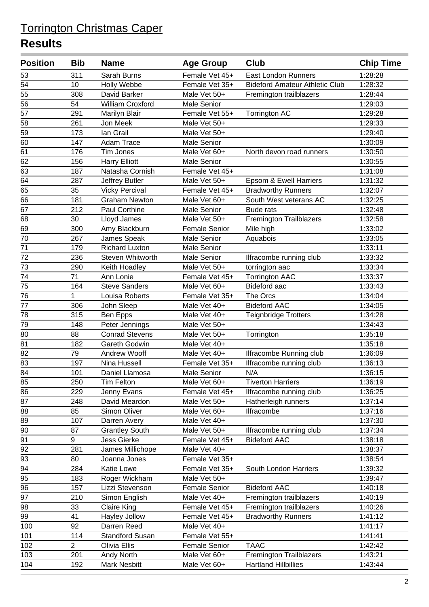| <b>Position</b> | <b>Bib</b>     | <b>Name</b>             | <b>Age Group</b>   | <b>Club</b>                           | <b>Chip Time</b> |
|-----------------|----------------|-------------------------|--------------------|---------------------------------------|------------------|
| 53              | 311            | Sarah Burns             | Female Vet 45+     | <b>East London Runners</b>            | 1:28:28          |
| 54              | 10             | Holly Webbe             | Female Vet 35+     | <b>Bideford Amateur Athletic Club</b> | 1:28:32          |
| 55              | 308            | David Barker            | Male Vet 50+       | Fremington trailblazers               | 1:28:44          |
| 56              | 54             | <b>William Croxford</b> | Male Senior        |                                       | 1:29:03          |
| 57              | 291            | Marilyn Blair           | Female Vet 55+     | <b>Torrington AC</b>                  | 1:29:28          |
| 58              | 261            | Jon Meek                | Male Vet 50+       |                                       | 1:29:33          |
| 59              | 173            | lan Grail               | Male Vet 50+       |                                       | 1:29:40          |
| 60              | 147            | Adam Trace              | <b>Male Senior</b> |                                       | 1:30:09          |
| 61              | 176            | <b>Tim Jones</b>        | Male Vet 60+       | North devon road runners              | 1:30:50          |
| 62              | 156            | <b>Harry Elliott</b>    | <b>Male Senior</b> |                                       | 1:30:55          |
| 63              | 187            | Natasha Cornish         | Female Vet 45+     |                                       | 1:31:08          |
| 64              | 287            | Jeffrey Butler          | Male Vet 50+       | Epsom & Ewell Harriers                | 1:31:32          |
| 65              | 35             | <b>Vicky Percival</b>   | Female Vet 45+     | <b>Bradworthy Runners</b>             | 1:32:07          |
| 66              | 181            | <b>Graham Newton</b>    | Male Vet 60+       | South West veterans AC                | 1:32:25          |
| 67              | 212            | Paul Corthine           | <b>Male Senior</b> | <b>Bude rats</b>                      | 1:32:48          |
| 68              | 30             | Lloyd James             | Male Vet 50+       | Fremington Trailblazers               | 1:32:58          |
| 69              | 300            | Amy Blackburn           | Female Senior      | Mile high                             | 1:33:02          |
| 70              | 267            | James Speak             | <b>Male Senior</b> | Aquabois                              | 1:33:05          |
| 71              | 179            | <b>Richard Luxton</b>   | Male Senior        |                                       | 1:33:11          |
| 72              | 236            | Steven Whitworth        | <b>Male Senior</b> | Ilfracombe running club               | 1:33:32          |
| 73              | 290            | Keith Hoadley           | Male Vet 50+       | torrington aac                        | 1:33:34          |
| 74              | 71             | Ann Lonie               | Female Vet 45+     | <b>Torrington AAC</b>                 | 1:33:37          |
| 75              | 164            | <b>Steve Sanders</b>    | Male Vet 60+       | <b>Bideford aac</b>                   | 1:33:43          |
| 76              | 1              | Louisa Roberts          | Female Vet 35+     | The Orcs                              | 1:34:04          |
| 77              | 306            | John Sleep              | Male Vet 40+       | <b>Bideford AAC</b>                   | 1:34:05          |
| 78              | 315            | Ben Epps                | Male Vet 40+       | Teignbridge Trotters                  | 1:34:28          |
| 79              | 148            | Peter Jennings          | Male Vet 50+       |                                       | 1:34:43          |
| 80              | 88             | <b>Conrad Stevens</b>   | Male Vet 50+       | Torrington                            | 1:35:18          |
| 81              | 182            | Gareth Godwin           | Male Vet 40+       |                                       | 1:35:18          |
| 82              | 79             | Andrew Wooff            | Male Vet 40+       | Ilfracombe Running club               | 1:36:09          |
| 83              | 197            | Nina Hussell            | Female Vet 35+     | Ilfracombe running club               | 1:36:13          |
| $\overline{84}$ | 101            | Daniel Llamosa          | Male Senior        | N/A                                   | 1:36:15          |
| 85              | 250            | Tim Felton              | Male Vet 60+       | Tiverton Harriers                     | 1:36:19          |
| 86              | 229            | Jenny Evans             | Female Vet 45+     | Ilfracombe running club               | 1:36:25          |
| 87              | 248            | David Meardon           | Male Vet 50+       | Hatherleigh runners                   | 1:37:14          |
| 88              | 85             | Simon Oliver            | Male Vet 60+       | Ilfracombe                            | 1:37:16          |
| 89              | 107            | Darren Avery            | Male Vet 40+       |                                       | 1:37:30          |
| 90              | 87             | <b>Grantley South</b>   | Male Vet 50+       | Ilfracombe running club               | 1:37:34          |
| 91              | 9              | <b>Jess Gierke</b>      | Female Vet 45+     | <b>Bideford AAC</b>                   | 1:38:18          |
| 92              | 281            | James Millichope        | Male Vet 40+       |                                       | 1:38:37          |
| 93              | 80             | Joanna Jones            | Female Vet 35+     |                                       | 1:38:54          |
| 94              | 284            | <b>Katie Lowe</b>       | Female Vet 35+     | South London Harriers                 | 1:39:32          |
| 95              | 183            | Roger Wickham           | Male Vet 50+       |                                       | 1:39:47          |
| 96              | 157            | Lizzi Stevenson         | Female Senior      | <b>Bideford AAC</b>                   | 1:40:18          |
| 97              | 210            | Simon English           | Male Vet 40+       | Fremington trailblazers               | 1:40:19          |
| 98              | 33             | <b>Claire King</b>      | Female Vet 45+     | Fremington trailblazers               | 1:40:26          |
| 99              | 41             | Hayley Jollow           | Female Vet 45+     | <b>Bradworthy Runners</b>             | 1:41:12          |
| 100             | 92             | Darren Reed             | Male Vet 40+       |                                       | 1:41:17          |
| 101             | 114            | <b>Standford Susan</b>  | Female Vet 55+     |                                       | 1:41:41          |
| 102             | $\overline{2}$ | Olivia Ellis            | Female Senior      | <b>TAAC</b>                           | 1:42:42          |
| 103             | 201            | Andy North              | Male Vet 60+       | <b>Fremington Trailblazers</b>        | 1:43:21          |
| 104             | 192            | <b>Mark Nesbitt</b>     | Male Vet 60+       | <b>Hartland Hillbillies</b>           | 1:43:44          |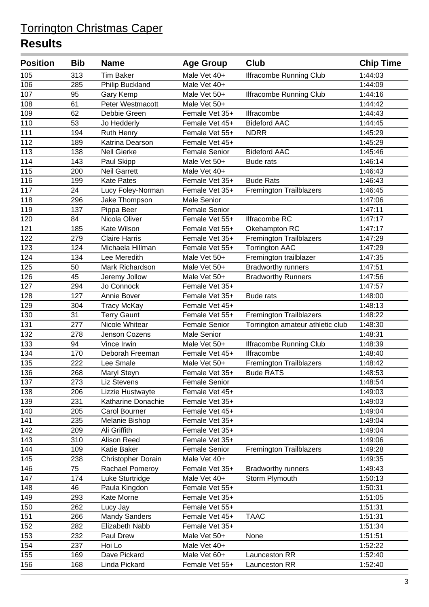| <b>Position</b> | <b>Bib</b> | <b>Name</b>          | <b>Age Group</b>     | <b>Club</b>                      | <b>Chip Time</b> |
|-----------------|------------|----------------------|----------------------|----------------------------------|------------------|
| 105             | 313        | <b>Tim Baker</b>     | Male Vet 40+         | Ilfracombe Running Club          | 1:44:03          |
| 106             | 285        | Philip Buckland      | Male Vet 40+         |                                  | 1:44:09          |
| 107             | 95         | Gary Kemp            | Male Vet 50+         | <b>Ilfracombe Running Club</b>   | 1:44:16          |
| 108             | 61         | Peter Westmacott     | Male Vet 50+         |                                  | 1:44:42          |
| 109             | 62         | Debbie Green         | Female Vet 35+       | Ilfracombe                       | 1:44:43          |
| 110             | 53         | Jo Hedderly          | Female Vet 45+       | <b>Bideford AAC</b>              | 1:44:45          |
| 111             | 194        | Ruth Henry           | Female Vet 55+       | <b>NDRR</b>                      | 1:45:29          |
| 112             | 189        | Katrina Dearson      | Female Vet 45+       |                                  | 1:45:29          |
| 113             | 138        | <b>Nell Gierke</b>   | <b>Female Senior</b> | <b>Bideford AAC</b>              | 1:45:46          |
| 114             | 143        | Paul Skipp           | Male Vet 50+         | <b>Bude rats</b>                 | 1:46:14          |
| 115             | 200        | <b>Neil Garrett</b>  | Male Vet 40+         |                                  | 1:46:43          |
| 116             | 199        | <b>Kate Pates</b>    | Female Vet 35+       | <b>Bude Rats</b>                 | 1:46:43          |
| 117             | 24         | Lucy Foley-Norman    | Female Vet 35+       | <b>Fremington Trailblazers</b>   | 1:46:45          |
| 118             | 296        | Jake Thompson        | Male Senior          |                                  | 1:47:06          |
| 119             | 137        | Pippa Beer           | <b>Female Senior</b> |                                  | 1:47:11          |
| 120             | 84         | Nicola Oliver        | Female Vet 55+       | Ilfracombe RC                    | 1:47:17          |
| 121             | 185        | Kate Wilson          | Female Vet 55+       | Okehampton RC                    | 1:47:17          |
| 122             | 279        | <b>Claire Harris</b> | Female Vet 35+       | <b>Fremington Trailblazers</b>   | 1:47:29          |
| 123             | 124        | Michaela Hillman     | Female Vet 55+       | <b>Torrington AAC</b>            | 1:47:29          |
| 124             | 134        | Lee Meredith         | Male Vet 50+         | Fremington trailblazer           | 1:47:35          |
| 125             | 50         | Mark Richardson      | Male Vet 50+         | <b>Bradworthy runners</b>        | 1:47:51          |
| 126             | 45         | Jeremy Jollow        | Male Vet 50+         | <b>Bradworthy Runners</b>        | 1:47:56          |
| 127             | 294        | Jo Connock           | Female Vet 35+       |                                  | 1:47:57          |
| 128             | 127        | Annie Bover          | Female Vet 35+       | <b>Bude rats</b>                 | 1:48:00          |
| 129             | 304        | <b>Tracy McKay</b>   | Female Vet 45+       |                                  | 1:48:13          |
| 130             | 31         | <b>Terry Gaunt</b>   | Female Vet 55+       | Fremington Trailblazers          | 1:48:22          |
| 131             | 277        | Nicole Whitear       | <b>Female Senior</b> | Torrington amateur athletic club | 1:48:30          |
| 132             | 278        | Jenson Cozens        | Male Senior          |                                  | 1:48:31          |
| 133             | 94         | Vince Irwin          | Male Vet 50+         | Ilfracombe Running Club          | 1:48:39          |
| 134             | 170        | Deborah Freeman      | Female Vet 45+       | Ilfracombe                       | 1:48:40          |
| 135             | 222        | Lee Smale            | Male Vet 50+         | <b>Fremington Trailblazers</b>   | 1:48:42          |
| 136             | 268        | Maryl Steyn          | Female Vet 35+       | <b>Bude RATS</b>                 | 1:48:53          |
| 137             | 273        | Liz Stevens          | <b>Female Senior</b> |                                  | 1:48:54          |
| 138             | 206        | Lizzie Hustwayte     | Female Vet 45+       |                                  | 1:49:03          |
| 139             | 231        | Katharine Donachie   | Female Vet 35+       |                                  | 1:49:03          |
| 140             | 205        | <b>Carol Bourner</b> | Female Vet 45+       |                                  | 1:49:04          |
| 141             | 235        | Melanie Bishop       | Female Vet 35+       |                                  | 1:49:04          |
| 142             | 209        | Ali Griffith         | Female Vet 35+       |                                  | 1:49:04          |
| 143             | 310        | Alison Reed          | Female Vet 35+       |                                  | 1:49:06          |
| 144             | 109        | Katie Baker          | <b>Female Senior</b> | <b>Fremington Trailblazers</b>   | 1:49:28          |
| 145             | 238        | Christopher Dorain   | Male Vet 40+         |                                  | 1:49:35          |
| 146             | 75         | Rachael Pomeroy      | Female Vet 35+       | <b>Bradworthy runners</b>        | 1:49:43          |
| 147             | 174        | Luke Sturtridge      | Male Vet 40+         | Storm Plymouth                   | 1:50:13          |
| 148             | 46         | Paula Kingdon        | Female Vet 55+       |                                  | 1:50:31          |
| 149             | 293        | Kate Morne           | Female Vet 35+       |                                  | 1:51:05          |
| 150             | 262        | Lucy Jay             | Female Vet 55+       |                                  | 1:51:31          |
| 151             | 266        | <b>Mandy Sanders</b> | Female Vet 45+       | <b>TAAC</b>                      | 1:51:31          |
| 152             | 282        | Elizabeth Nabb       | Female Vet 35+       |                                  | 1:51:34          |
| 153             | 232        | Paul Drew            | Male Vet 50+         | None                             | 1:51:51          |
| 154             | 237        | Hoi Lo               | Male Vet 40+         |                                  | 1:52:22          |
| 155             | 169        | Dave Pickard         | Male Vet 60+         | Launceston RR                    | 1:52:40          |
| 156             | 168        | Linda Pickard        | Female Vet 55+       | Launceston RR                    | 1:52:40          |
|                 |            |                      |                      |                                  |                  |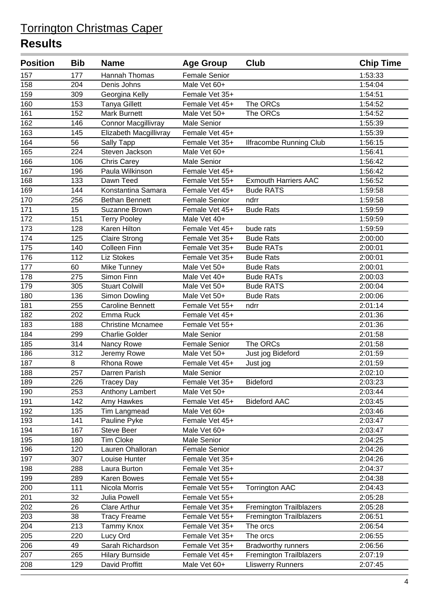| <b>Position</b> | <b>Bib</b> | <b>Name</b>                | <b>Age Group</b>     | <b>Club</b>                    | <b>Chip Time</b> |
|-----------------|------------|----------------------------|----------------------|--------------------------------|------------------|
| 157             | 177        | Hannah Thomas              | <b>Female Senior</b> |                                | 1:53:33          |
| 158             | 204        | Denis Johns                | Male Vet 60+         |                                | 1:54:04          |
| 159             | 309        | Georgina Kelly             | Female Vet 35+       |                                | 1:54:51          |
| 160             | 153        | <b>Tanya Gillett</b>       | Female Vet 45+       | The ORCs                       | 1:54:52          |
| 161             | 152        | <b>Mark Burnett</b>        | Male Vet 50+         | The ORCs                       | 1:54:52          |
| 162             | 146        | <b>Connor Macgillivray</b> | Male Senior          |                                | 1:55:39          |
| 163             | 145        | Elizabeth Macgillivray     | Female Vet 45+       |                                | 1:55:39          |
| 164             | 56         | Sally Tapp                 | Female Vet 35+       | <b>Ilfracombe Running Club</b> | 1:56:15          |
| 165             | 224        | Steven Jackson             | Male Vet 60+         |                                | 1:56:41          |
| 166             | 106        | <b>Chris Carey</b>         | Male Senior          |                                | 1:56:42          |
| 167             | 196        | Paula Wilkinson            | Female Vet 45+       |                                | 1:56:42          |
| 168             | 133        | Dawn Teed                  | Female Vet 55+       | <b>Exmouth Harriers AAC</b>    | 1:56:52          |
| 169             | 144        | Konstantina Samara         | Female Vet 45+       | <b>Bude RATS</b>               | 1:59:58          |
| 170             | 256        | <b>Bethan Bennett</b>      | <b>Female Senior</b> | ndrr                           | 1:59:58          |
| 171             | 15         | Suzanne Brown              | Female Vet 45+       | <b>Bude Rats</b>               | 1:59:59          |
| 172             | 151        | <b>Terry Pooley</b>        | Male Vet 40+         |                                | 1:59:59          |
| 173             | 128        | Karen Hilton               | Female Vet 45+       | bude rats                      | 1:59:59          |
| 174             | 125        | <b>Claire Strong</b>       | Female Vet 35+       | <b>Bude Rats</b>               | 2:00:00          |
| 175             | 140        | <b>Colleen Finn</b>        | Female Vet 35+       | <b>Bude RATs</b>               | 2:00:01          |
| 176             | 112        | <b>Liz Stokes</b>          | Female Vet 35+       | <b>Bude Rats</b>               | 2:00:01          |
| 177             | 60         | Mike Tunney                | Male Vet 50+         | <b>Bude Rats</b>               | 2:00:01          |
| 178             | 275        | Simon Finn                 | Male Vet 40+         | <b>Bude RATs</b>               | 2:00:03          |
| 179             | 305        | <b>Stuart Colwill</b>      | Male Vet 50+         | <b>Bude RATS</b>               | 2:00:04          |
| 180             | 136        | Simon Dowling              | Male Vet 50+         | <b>Bude Rats</b>               | 2:00:06          |
| 181             | 255        | <b>Caroline Bennett</b>    | Female Vet 55+       | ndrr                           | 2:01:14          |
| 182             | 202        | Emma Ruck                  | Female Vet 45+       |                                | 2:01:36          |
| 183             | 188        | <b>Christine Mcnamee</b>   | Female Vet 55+       |                                | 2:01:36          |
| 184             | 299        | <b>Charlie Golder</b>      | <b>Male Senior</b>   |                                | 2:01:58          |
| 185             | 314        | Nancy Rowe                 | <b>Female Senior</b> | The ORCs                       | 2:01:58          |
| 186             | 312        | Jeremy Rowe                | Male Vet 50+         | Just jog Bideford              | 2:01:59          |
| 187             | 8          | Rhona Rowe                 | Female Vet 45+       | Just jog                       | 2:01:59          |
| 188             | 257        | Darren Parish              | Male Senior          |                                | 2:02:10          |
| 189             | 226        | Tracey Day                 | Female Vet 35+       | <b>Bideford</b>                | 2:03:23          |
| 190             | 253        | Anthony Lambert            | Male Vet 50+         |                                | 2:03:44          |
| 191             | 142        | Amy Hawkes                 | Female Vet 45+       | <b>Bideford AAC</b>            | 2:03:45          |
| 192             | 135        | Tim Langmead               | Male Vet 60+         |                                | 2:03:46          |
| 193             | 141        | Pauline Pyke               | Female Vet 45+       |                                | 2:03:47          |
| 194             | 167        | Steve Beer                 | Male Vet 60+         |                                | 2:03:47          |
| 195             | 180        | <b>Tim Cloke</b>           | Male Senior          |                                | 2:04:25          |
| 196             | 120        | Lauren Ohalloran           | <b>Female Senior</b> |                                | 2:04:26          |
| 197             | 307        | Louise Hunter              | Female Vet 35+       |                                | 2:04:26          |
| 198             | 288        | Laura Burton               | Female Vet 35+       |                                | 2:04:37          |
| 199             | 289        | Karen Bowes                | Female Vet 55+       |                                | 2:04:38          |
| 200             | 111        | Nicola Morris              | Female Vet 55+       | <b>Torrington AAC</b>          | 2:04:43          |
| 201             | 32         | <b>Julia Powell</b>        | Female Vet 55+       |                                | 2:05:28          |
| 202             | 26         | <b>Clare Arthur</b>        | Female Vet 35+       | <b>Fremington Trailblazers</b> | 2:05:28          |
| 203             | 38         | <b>Tracy Freame</b>        | Female Vet 55+       | <b>Fremington Trailblazers</b> | 2:06:51          |
| 204             | 213        | Tammy Knox                 | Female Vet 35+       | The orcs                       | 2:06:54          |
| 205             | 220        | Lucy Ord                   | Female Vet 35+       | The orcs                       | 2:06:55          |
| 206             | 49         | Sarah Richardson           | Female Vet 35+       | <b>Bradworthy runners</b>      | 2:06:56          |
| 207             | 265        | <b>Hilary Burnside</b>     | Female Vet 45+       | <b>Fremington Trailblazers</b> | 2:07:19          |
| 208             | 129        | David Proffitt             | Male Vet 60+         | <b>Lliswerry Runners</b>       | 2:07:45          |
|                 |            |                            |                      |                                |                  |